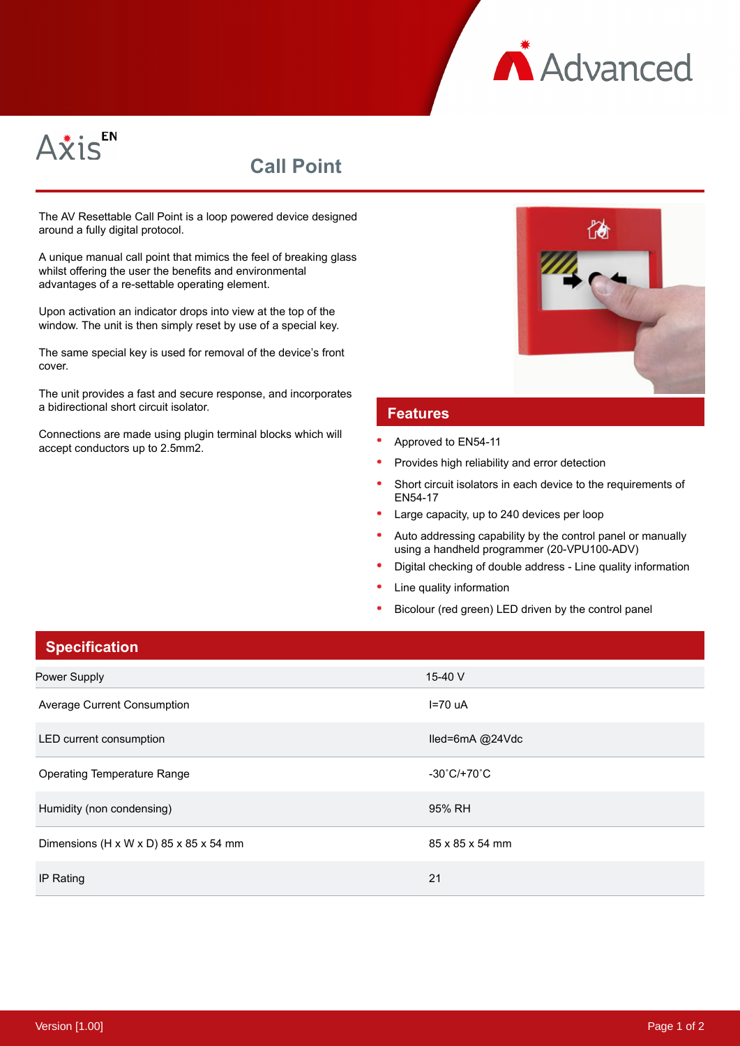



## **Call Point**

The AV Resettable Call Point is a loop powered device designed around a fully digital protocol.

A unique manual call point that mimics the feel of breaking glass whilst offering the user the benefits and environmental advantages of a re-settable operating element.

Upon activation an indicator drops into view at the top of the window. The unit is then simply reset by use of a special key.

The same special key is used for removal of the device's front cover.

The unit provides a fast and secure response, and incorporates a bidirectional short circuit isolator.

Connections are made using plugin terminal blocks which will accept conductors up to 2.5mm2.



## **Features**

- Approved to EN54-11
- Provides high reliability and error detection
- Short circuit isolators in each device to the requirements of EN54-17
- Large capacity, up to 240 devices per loop
- Auto addressing capability by the control panel or manually using a handheld programmer (20-VPU100-ADV)
- Digital checking of double address Line quality information
- Line quality information
- Bicolour (red green) LED driven by the control panel

| <b>Specification</b>                   |                                  |
|----------------------------------------|----------------------------------|
| Power Supply                           | 15-40 V                          |
| Average Current Consumption            | $I=70$ uA                        |
| LED current consumption                | lled=6mA @24Vdc                  |
| <b>Operating Temperature Range</b>     | $-30^{\circ}$ C/+70 $^{\circ}$ C |
| Humidity (non condensing)              | 95% RH                           |
| Dimensions (H x W x D) 85 x 85 x 54 mm | 85 x 85 x 54 mm                  |
| IP Rating                              | 21                               |